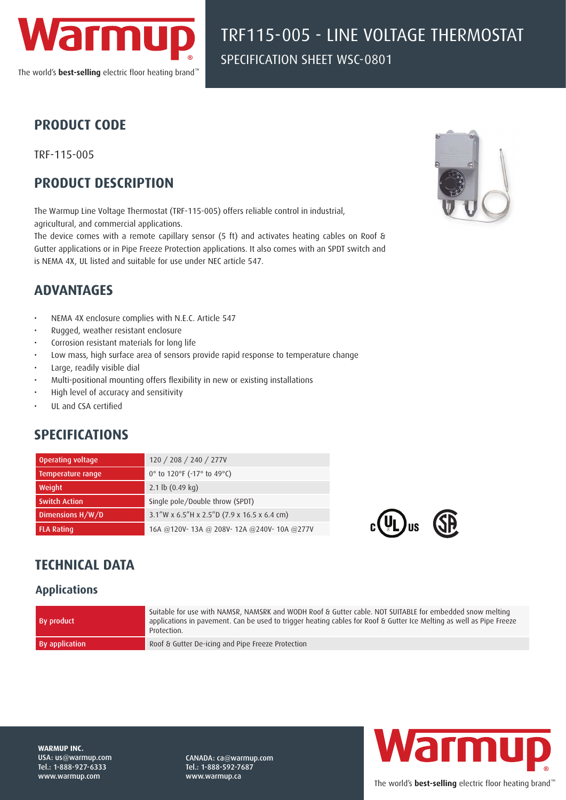

TRF115-005 - LINE VOLTAGE THERMOSTAT SPECIFICATION SHEET WSC-0801

### **PRODUCT CODE**

TRF-115-005

## **PRODUCT DESCRIPTION**

The Warmup Line Voltage Thermostat (TRF-115-005) offers reliable control in industrial, agricultural, and commercial applications.

The device comes with a remote capillary sensor (5 ft) and activates heating cables on Roof & Gutter applications or in Pipe Freeze Protection applications. It also comes with an SPDT switch and is NEMA 4X, UL listed and suitable for use under NEC article 547.



## **ADVANTAGES**

- NEMA 4X enclosure complies with N.E.C. Article 547
- Rugged, weather resistant enclosure
- Corrosion resistant materials for long life
- Low mass, high surface area of sensors provide rapid response to temperature change
- Large, readily visible dial
- Multi-positional mounting offers flexibility in new or existing installations
- High level of accuracy and sensitivity
- UL and CSA certified

# **SPECIFICATIONS**

| Operating voltage    | 120 / 208 / 240 / 277V                                           |
|----------------------|------------------------------------------------------------------|
| Temperature range    | 0 $\degree$ to 120 $\degree$ F (-17 $\degree$ to 49 $\degree$ C) |
| Weight               | 2.1 lb $(0.49 \text{ kg})$                                       |
| <b>Switch Action</b> | Single pole/Double throw (SPDT)                                  |
| Dimensions H/W/D     | $3.1''$ W x 6.5"H x 2.5"D (7.9 x 16.5 x 6.4 cm)                  |
| <b>FLA Rating</b>    | 16A @120V-13A @ 208V-12A @240V-10A @277V                         |



# **TECHNICAL DATA**

#### **Applications**

| <b>By product</b> | Suitable for use with NAMSR, NAMSRK and WODH Roof & Gutter cable. NOT SUITABLE for embedded snow melting<br>applications in pavement. Can be used to trigger heating cables for Roof & Gutter Ice Melting as well as Pipe Freeze<br>Protection. |
|-------------------|-------------------------------------------------------------------------------------------------------------------------------------------------------------------------------------------------------------------------------------------------|
| By application    | Roof & Gutter De-icing and Pipe Freeze Protection                                                                                                                                                                                               |

**WARMUP INC.**  USA: us@warmup.com Tel.: 1-888-927-6333 www.warmup.com

CANADA: ca@warmup.com Tel.: 1-888-592-7687 www.warmup.ca



The world's **best-selling** electric floor heating brand<sup>™</sup>